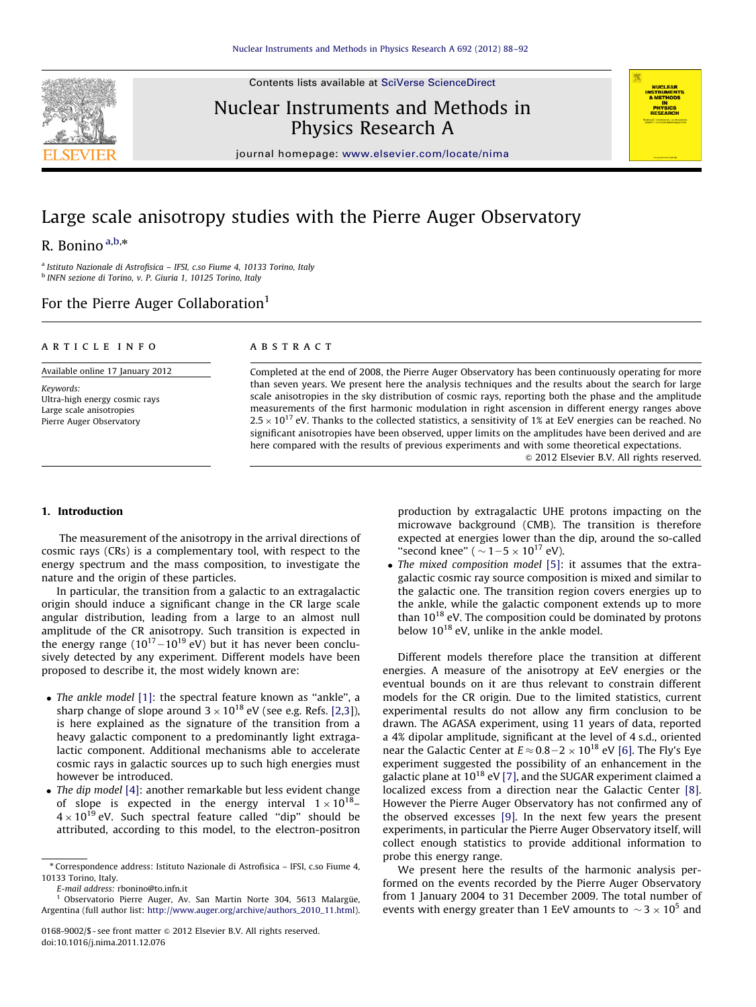Contents lists available at [SciVerse ScienceDirect](www.elsevier.com/locate/nima)



Nuclear Instruments and Methods in Physics Research A



journal homepage: <www.elsevier.com/locate/nima>

# Large scale anisotropy studies with the Pierre Auger Observatory

# R. Bonino  $a,b,*$

<sup>a</sup> Istituto Nazionale di Astrofisica – IFSI, c.so Fiume 4, 10133 Torino, Italy <sup>b</sup> INFN sezione di Torino, v. P. Giuria 1, 10125 Torino, Italy

# For the Pierre Auger Collaboration<sup>1</sup>

# article info

Available online 17 January 2012

Keywords: Ultra-high energy cosmic rays Large scale anisotropies Pierre Auger Observatory

#### **ABSTRACT**

Completed at the end of 2008, the Pierre Auger Observatory has been continuously operating for more than seven years. We present here the analysis techniques and the results about the search for large scale anisotropies in the sky distribution of cosmic rays, reporting both the phase and the amplitude measurements of the first harmonic modulation in right ascension in different energy ranges above  $2.5 \times 10^{17}$  eV. Thanks to the collected statistics, a sensitivity of 1% at EeV energies can be reached. No significant anisotropies have been observed, upper limits on the amplitudes have been derived and are here compared with the results of previous experiments and with some theoretical expectations.  $\odot$  2012 Elsevier B.V. All rights reserved.

# 1. Introduction

The measurement of the anisotropy in the arrival directions of cosmic rays (CRs) is a complementary tool, with respect to the energy spectrum and the mass composition, to investigate the nature and the origin of these particles.

In particular, the transition from a galactic to an extragalactic origin should induce a significant change in the CR large scale angular distribution, leading from a large to an almost null amplitude of the CR anisotropy. Such transition is expected in the energy range  $(10^{17}-10^{19} \text{ eV})$  but it has never been conclusively detected by any experiment. Different models have been proposed to describe it, the most widely known are:

- The ankle model [\[1\]:](#page-4-0) the spectral feature known as "ankle", a sharp change of slope around  $3\times 10^{18}$  eV (see e.g. Refs. [\[2,3\]](#page-4-0)), is here explained as the signature of the transition from a heavy galactic component to a predominantly light extragalactic component. Additional mechanisms able to accelerate cosmic rays in galactic sources up to such high energies must however be introduced.
- The dip model [\[4\]:](#page-4-0) another remarkable but less evident change of slope is expected in the energy interval  $1 \times 10^{18}$ - $4 \times 10^{19}$  eV. Such spectral feature called "dip" should be attributed, according to this model, to the electron-positron

<sup>1</sup> Observatorio Pierre Auger, Av. San Martin Norte 304, 5613 Malargüe, Argentina (full author list: [http://www.auger.org/archive/authors\\_2010\\_11.html\)](http://www.auger.org/archive/authors_2010_11.html). production by extragalactic UHE protons impacting on the microwave background (CMB). The transition is therefore expected at energies lower than the dip, around the so-called "second knee" (  $\sim$  1 – 5  $\times$  10<sup>17</sup> eV).

• The mixed composition model [\[5\]:](#page-4-0) it assumes that the extragalactic cosmic ray source composition is mixed and similar to the galactic one. The transition region covers energies up to the ankle, while the galactic component extends up to more than  $10^{18}$  eV. The composition could be dominated by protons below  $10^{18}$  eV, unlike in the ankle model.

Different models therefore place the transition at different energies. A measure of the anisotropy at EeV energies or the eventual bounds on it are thus relevant to constrain different models for the CR origin. Due to the limited statistics, current experimental results do not allow any firm conclusion to be drawn. The AGASA experiment, using 11 years of data, reported a 4% dipolar amplitude, significant at the level of 4 s.d., oriented near the Galactic Center at  $E \approx 0.8-2 \times 10^{18}$  eV [\[6\]](#page-4-0). The Fly's Eye experiment suggested the possibility of an enhancement in the galactic plane at  $10^{18}$  eV [\[7\],](#page-4-0) and the SUGAR experiment claimed a localized excess from a direction near the Galactic Center [\[8\].](#page-4-0) However the Pierre Auger Observatory has not confirmed any of the observed excesses [\[9\].](#page-4-0) In the next few years the present experiments, in particular the Pierre Auger Observatory itself, will collect enough statistics to provide additional information to probe this energy range.

We present here the results of the harmonic analysis performed on the events recorded by the Pierre Auger Observatory from 1 January 2004 to 31 December 2009. The total number of events with energy greater than 1 EeV amounts to  $\sim$  3  $\times$  10<sup>5</sup> and

<sup>n</sup> Correspondence address: Istituto Nazionale di Astrofisica – IFSI, c.so Fiume 4, 10133 Torino, Italy.

E-mail address: [rbonino@to.infn.it](mailto:rbonino@to.infn.it)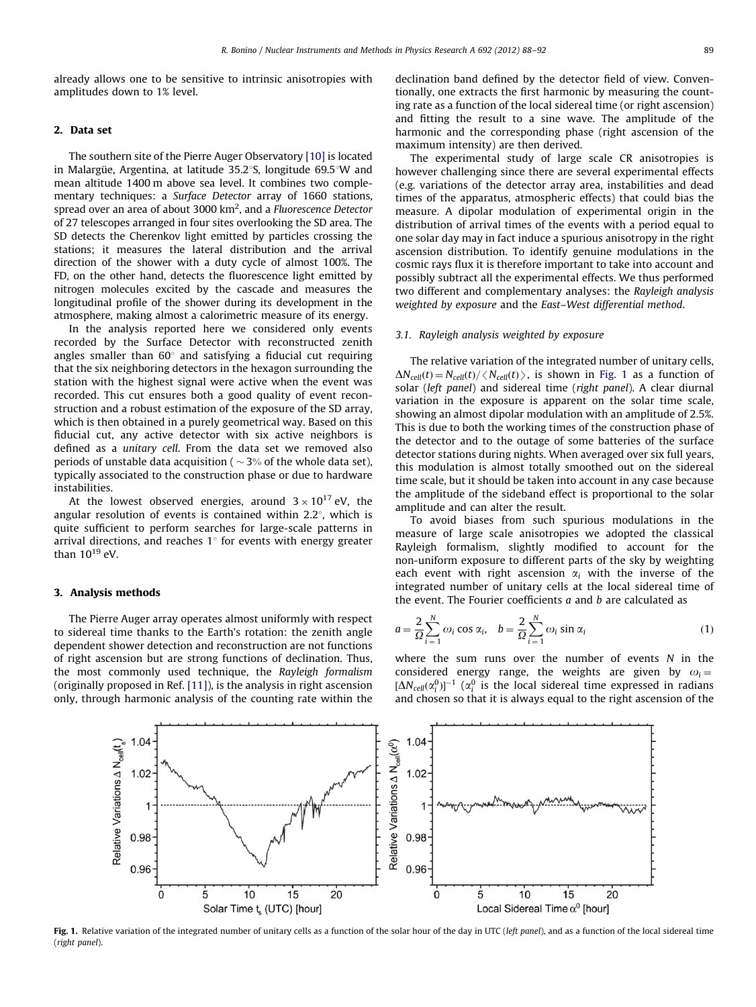already allows one to be sensitive to intrinsic anisotropies with amplitudes down to 1% level.

### 2. Data set

The southern site of the Pierre Auger Observatory [\[10\]](#page-4-0) is located in Malargüe, Argentina, at latitude  $35.2^{\circ}$ S, longitude 69.5°W and mean altitude 1400 m above sea level. It combines two complementary techniques: a Surface Detector array of 1660 stations, spread over an area of about 3000 km<sup>2</sup>, and a Fluorescence Detector of 27 telescopes arranged in four sites overlooking the SD area. The SD detects the Cherenkov light emitted by particles crossing the stations; it measures the lateral distribution and the arrival direction of the shower with a duty cycle of almost 100%. The FD, on the other hand, detects the fluorescence light emitted by nitrogen molecules excited by the cascade and measures the longitudinal profile of the shower during its development in the atmosphere, making almost a calorimetric measure of its energy.

In the analysis reported here we considered only events recorded by the Surface Detector with reconstructed zenith angles smaller than  $60^\circ$  and satisfying a fiducial cut requiring that the six neighboring detectors in the hexagon surrounding the station with the highest signal were active when the event was recorded. This cut ensures both a good quality of event reconstruction and a robust estimation of the exposure of the SD array, which is then obtained in a purely geometrical way. Based on this fiducial cut, any active detector with six active neighbors is defined as a unitary cell. From the data set we removed also periods of unstable data acquisition ( $\sim$ 3% of the whole data set), typically associated to the construction phase or due to hardware instabilities.

At the lowest observed energies, around  $3 \times 10^{17}$  eV, the angular resolution of events is contained within  $2.2^{\circ}$ , which is quite sufficient to perform searches for large-scale patterns in arrival directions, and reaches  $1^\circ$  for events with energy greater than  $10^{19}$  eV.

## 3. Analysis methods

The Pierre Auger array operates almost uniformly with respect to sidereal time thanks to the Earth's rotation: the zenith angle dependent shower detection and reconstruction are not functions of right ascension but are strong functions of declination. Thus, the most commonly used technique, the Rayleigh formalism (originally proposed in Ref. [\[11\]](#page-4-0)), is the analysis in right ascension only, through harmonic analysis of the counting rate within the declination band defined by the detector field of view. Conventionally, one extracts the first harmonic by measuring the counting rate as a function of the local sidereal time (or right ascension) and fitting the result to a sine wave. The amplitude of the harmonic and the corresponding phase (right ascension of the maximum intensity) are then derived.

The experimental study of large scale CR anisotropies is however challenging since there are several experimental effects (e.g. variations of the detector array area, instabilities and dead times of the apparatus, atmospheric effects) that could bias the measure. A dipolar modulation of experimental origin in the distribution of arrival times of the events with a period equal to one solar day may in fact induce a spurious anisotropy in the right ascension distribution. To identify genuine modulations in the cosmic rays flux it is therefore important to take into account and possibly subtract all the experimental effects. We thus performed two different and complementary analyses: the Rayleigh analysis weighted by exposure and the East–West differential method.

#### 3.1. Rayleigh analysis weighted by exposure

The relative variation of the integrated number of unitary cells,  $\Delta N_{cell}(t) = N_{cell}(t) / \langle N_{cell}(t) \rangle$ , is shown in Fig. 1 as a function of solar (left panel) and sidereal time (right panel). A clear diurnal variation in the exposure is apparent on the solar time scale, showing an almost dipolar modulation with an amplitude of 2.5%. This is due to both the working times of the construction phase of the detector and to the outage of some batteries of the surface detector stations during nights. When averaged over six full years, this modulation is almost totally smoothed out on the sidereal time scale, but it should be taken into account in any case because the amplitude of the sideband effect is proportional to the solar amplitude and can alter the result.

To avoid biases from such spurious modulations in the measure of large scale anisotropies we adopted the classical Rayleigh formalism, slightly modified to account for the non-uniform exposure to different parts of the sky by weighting each event with right ascension  $\alpha_i$  with the inverse of the integrated number of unitary cells at the local sidereal time of the event. The Fourier coefficients  $a$  and  $b$  are calculated as

$$
a = \frac{2}{\Omega} \sum_{i=1}^{N} \omega_i \cos \alpha_i, \quad b = \frac{2}{\Omega} \sum_{i=1}^{N} \omega_i \sin \alpha_i
$$
 (1)

where the sum runs over the number of events  $N$  in the considered energy range, the weights are given by  $\omega_i =$  $[\Delta N_{cell}(\alpha_i^0)]^{-1}$  ( $\alpha_i^0$  is the local sidereal time expressed in radians and chosen so that it is always equal to the right ascension of the



Fig. 1. Relative variation of the integrated number of unitary cells as a function of the solar hour of the day in UTC (left panel), and as a function of the local sidereal time (right panel).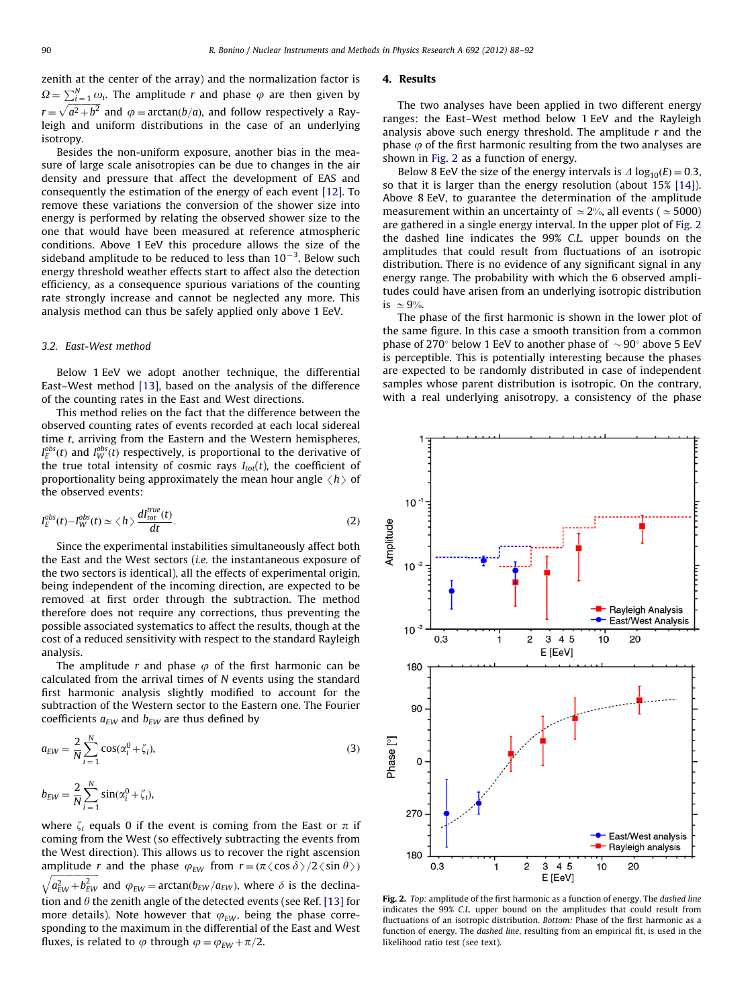<span id="page-2-0"></span>zenith at the center of the array) and the normalization factor is  $\Omega = \sum_{i=1}^{N} \omega_i$ . The amplitude r and phase  $\varphi$  are then given by  $r = \sqrt{a^2 + b^2}$  and  $\varphi = \arctan(b/a)$ , and follow respectively a Rayleigh and uniform distributions in the case of an underlying isotropy.

Besides the non-uniform exposure, another bias in the measure of large scale anisotropies can be due to changes in the air density and pressure that affect the development of EAS and consequently the estimation of the energy of each event [\[12\].](#page-4-0) To remove these variations the conversion of the shower size into energy is performed by relating the observed shower size to the one that would have been measured at reference atmospheric conditions. Above 1 EeV this procedure allows the size of the sideband amplitude to be reduced to less than 10 $^{-3}$ . Below such energy threshold weather effects start to affect also the detection efficiency, as a consequence spurious variations of the counting rate strongly increase and cannot be neglected any more. This analysis method can thus be safely applied only above 1 EeV.

#### 3.2. East-West method

Below 1 EeV we adopt another technique, the differential East–West method [\[13\]](#page-4-0), based on the analysis of the difference of the counting rates in the East and West directions.

This method relies on the fact that the difference between the observed counting rates of events recorded at each local sidereal time t, arriving from the Eastern and the Western hemispheres,  $I_{E}^{obs}(t)$  and  $I_{W}^{obs}(t)$  respectively, is proportional to the derivative of the true total intensity of cosmic rays  $I_{tot}(t)$ , the coefficient of proportionality being approximately the mean hour angle  $\langle h \rangle$  of the observed events:

$$
I_E^{obs}(t) - I_W^{obs}(t) \simeq \langle h \rangle \frac{dI_{tot}^{true}(t)}{dt}.
$$
 (2)

Since the experimental instabilities simultaneously affect both the East and the West sectors (i.e. the instantaneous exposure of the two sectors is identical), all the effects of experimental origin, being independent of the incoming direction, are expected to be removed at first order through the subtraction. The method therefore does not require any corrections, thus preventing the possible associated systematics to affect the results, though at the cost of a reduced sensitivity with respect to the standard Rayleigh analysis.

The amplitude r and phase  $\varphi$  of the first harmonic can be calculated from the arrival times of N events using the standard first harmonic analysis slightly modified to account for the subtraction of the Western sector to the Eastern one. The Fourier coefficients  $a_{EW}$  and  $b_{EW}$  are thus defined by

$$
a_{EW} = \frac{2}{N} \sum_{i=1}^{N} \cos(\alpha_i^0 + \zeta_i),
$$
  
\n
$$
b_{EW} = \frac{2}{N} \sum_{i=1}^{N} \sin(\alpha_i^0 + \zeta_i),
$$
\n(3)

where  $\zeta_i$  equals 0 if the event is coming from the East or  $\pi$  if coming from the West (so effectively subtracting the events from the West direction). This allows us to recover the right ascension amplitude r and the phase  $\varphi_{EW}$  from  $r = (\pi \langle \cos \delta \rangle / 2 \langle \sin \theta \rangle)$  $\sqrt{a_{EW}^2 + b_{EW}^2}$  and  $\varphi_{EW} = \arctan(b_{EW}/a_{EW})$ , where  $\delta$  is the declination and  $\theta$  the zenith angle of the detected events (see Ref. [\[13\]](#page-4-0) for more details). Note however that  $\varphi_{FW}$ , being the phase corresponding to the maximum in the differential of the East and West fluxes, is related to  $\varphi$  through  $\varphi = \varphi_{EW} + \pi/2$ .

#### 4. Results

The two analyses have been applied in two different energy ranges: the East–West method below 1 EeV and the Rayleigh analysis above such energy threshold. The amplitude  $r$  and the phase  $\varphi$  of the first harmonic resulting from the two analyses are shown in Fig. 2 as a function of energy.

Below 8 EeV the size of the energy intervals is  $\Delta \log_{10}(E) = 0.3$ , so that it is larger than the energy resolution (about 15% [\[14\]\)](#page-4-0). Above 8 EeV, to guarantee the determination of the amplitude measurement within an uncertainty of  $\simeq$  2%, all events ( $\simeq$  5000) are gathered in a single energy interval. In the upper plot of Fig. 2 the dashed line indicates the 99% C.L. upper bounds on the amplitudes that could result from fluctuations of an isotropic distribution. There is no evidence of any significant signal in any energy range. The probability with which the 6 observed amplitudes could have arisen from an underlying isotropic distribution is  $\simeq 9\%$ .

The phase of the first harmonic is shown in the lower plot of the same figure. In this case a smooth transition from a common phase of 270 $\degree$  below 1 EeV to another phase of  $\sim$  90 $\degree$  above 5 EeV is perceptible. This is potentially interesting because the phases are expected to be randomly distributed in case of independent samples whose parent distribution is isotropic. On the contrary, with a real underlying anisotropy, a consistency of the phase



Fig. 2. Top: amplitude of the first harmonic as a function of energy. The dashed line indicates the 99% C.L. upper bound on the amplitudes that could result from fluctuations of an isotropic distribution. Bottom: Phase of the first harmonic as a function of energy. The dashed line, resulting from an empirical fit, is used in the likelihood ratio test (see text).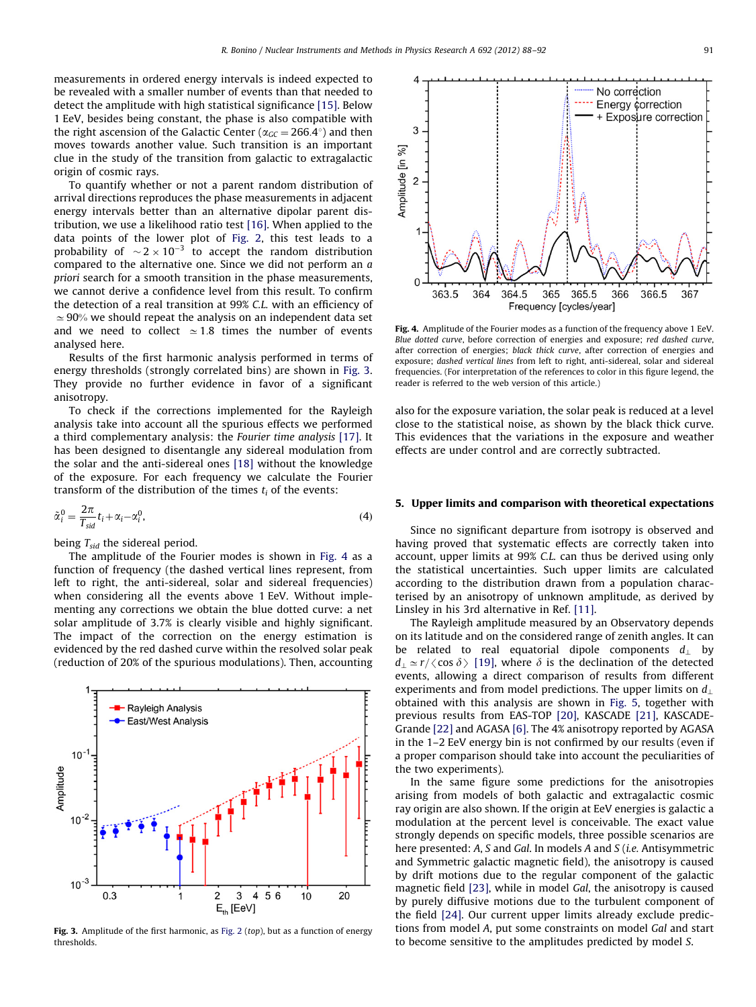measurements in ordered energy intervals is indeed expected to be revealed with a smaller number of events than that needed to detect the amplitude with high statistical significance [\[15\].](#page-4-0) Below 1 EeV, besides being constant, the phase is also compatible with the right ascension of the Galactic Center ( $\alpha_{GC} = 266.4^{\circ}$ ) and then moves towards another value. Such transition is an important clue in the study of the transition from galactic to extragalactic origin of cosmic rays.

To quantify whether or not a parent random distribution of arrival directions reproduces the phase measurements in adjacent energy intervals better than an alternative dipolar parent distribution, we use a likelihood ratio test [\[16\]](#page-4-0). When applied to the data points of the lower plot of [Fig. 2,](#page-2-0) this test leads to a probability of  $\sim$  2  $\times$  10<sup>-3</sup> to accept the random distribution compared to the alternative one. Since we did not perform an a priori search for a smooth transition in the phase measurements, we cannot derive a confidence level from this result. To confirm the detection of a real transition at 99% C.L. with an efficiency of  $\simeq$  90% we should repeat the analysis on an independent data set and we need to collect  $\simeq$  1.8 times the number of events analysed here.

Results of the first harmonic analysis performed in terms of energy thresholds (strongly correlated bins) are shown in Fig. 3. They provide no further evidence in favor of a significant anisotropy.

To check if the corrections implemented for the Rayleigh analysis take into account all the spurious effects we performed a third complementary analysis: the Fourier time analysis [\[17\].](#page-4-0) It has been designed to disentangle any sidereal modulation from the solar and the anti-sidereal ones [\[18\]](#page-4-0) without the knowledge of the exposure. For each frequency we calculate the Fourier transform of the distribution of the times  $t_i$  of the events:

$$
\tilde{\alpha}_i^0 = \frac{2\pi}{T_{sid}} t_i + \alpha_i - \alpha_i^0,\tag{4}
$$

being  $T_{sid}$  the sidereal period.

The amplitude of the Fourier modes is shown in Fig. 4 as a function of frequency (the dashed vertical lines represent, from left to right, the anti-sidereal, solar and sidereal frequencies) when considering all the events above 1 EeV. Without implementing any corrections we obtain the blue dotted curve: a net solar amplitude of 3.7% is clearly visible and highly significant. The impact of the correction on the energy estimation is evidenced by the red dashed curve within the resolved solar peak (reduction of 20% of the spurious modulations). Then, accounting



Fig. 3. Amplitude of the first harmonic, as [Fig. 2](#page-2-0) (top), but as a function of energy thresholds.



Fig. 4. Amplitude of the Fourier modes as a function of the frequency above 1 EeV. Blue dotted curve, before correction of energies and exposure; red dashed curve, after correction of energies; black thick curve, after correction of energies and exposure; dashed vertical lines from left to right, anti-sidereal, solar and sidereal frequencies. (For interpretation of the references to color in this figure legend, the reader is referred to the web version of this article.)

also for the exposure variation, the solar peak is reduced at a level close to the statistical noise, as shown by the black thick curve. This evidences that the variations in the exposure and weather effects are under control and are correctly subtracted.

#### 5. Upper limits and comparison with theoretical expectations

Since no significant departure from isotropy is observed and having proved that systematic effects are correctly taken into account, upper limits at 99% C.L. can thus be derived using only the statistical uncertainties. Such upper limits are calculated according to the distribution drawn from a population characterised by an anisotropy of unknown amplitude, as derived by Linsley in his 3rd alternative in Ref. [\[11\]](#page-4-0).

The Rayleigh amplitude measured by an Observatory depends on its latitude and on the considered range of zenith angles. It can be related to real equatorial dipole components  $d_{\perp}$  by  $d_{\perp} \simeq r/\langle \cos \delta \rangle$  [\[19\],](#page-4-0) where  $\delta$  is the declination of the detected events, allowing a direct comparison of results from different experiments and from model predictions. The upper limits on  $d_{\perp}$ obtained with this analysis are shown in [Fig. 5,](#page-4-0) together with previous results from EAS-TOP [\[20\],](#page-4-0) KASCADE [\[21\],](#page-4-0) KASCADE-Grande [\[22\]](#page-4-0) and AGASA [\[6\].](#page-4-0) The 4% anisotropy reported by AGASA in the 1–2 EeV energy bin is not confirmed by our results (even if a proper comparison should take into account the peculiarities of the two experiments).

In the same figure some predictions for the anisotropies arising from models of both galactic and extragalactic cosmic ray origin are also shown. If the origin at EeV energies is galactic a modulation at the percent level is conceivable. The exact value strongly depends on specific models, three possible scenarios are here presented: A, S and Gal. In models A and S (i.e. Antisymmetric and Symmetric galactic magnetic field), the anisotropy is caused by drift motions due to the regular component of the galactic magnetic field [\[23\]](#page-4-0), while in model Gal, the anisotropy is caused by purely diffusive motions due to the turbulent component of the field [\[24\].](#page-4-0) Our current upper limits already exclude predictions from model A, put some constraints on model Gal and start to become sensitive to the amplitudes predicted by model S.